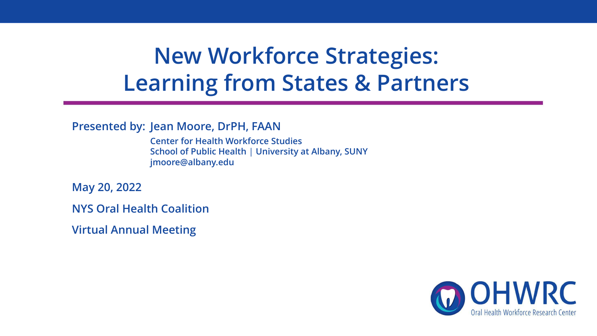## **New Workforce Strategies: Learning from States & Partners**

**Presented by: Jean Moore, DrPH, FAAN**

**Center for Health Workforce Studies School of Public Health** | **University at Albany, SUNY jmoore@albany.edu**

**May 20, 2022**

**NYS Oral Health Coalition** 

**Virtual Annual Meeting**

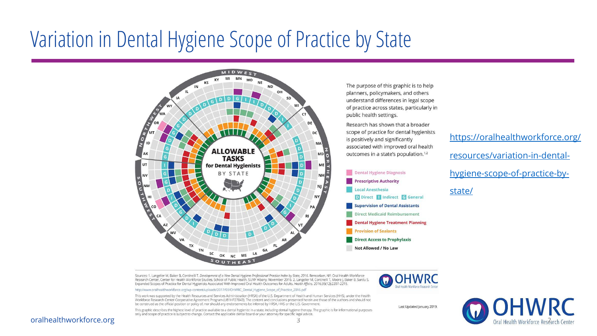## Variation in Dental Hygiene Scope of Practice by State



The purpose of this graphic is to help planners, policymakers, and others understand differences in legal scope of practice across states, particularly in public health settings.

Research has shown that a broader scope of practice for dental hygienists is positively and significantly associated with improved oral health outcomes in a state's population.<sup>1,2</sup>



[https://oralhealthworkforce.org/](https://oralhealthworkforce.org/resources/variation-in-dental-hygiene-scope-of-practice-by-state/) resources/variation-in-dentalhygiene-scope-of-practice-bystate/

Sources: 1. Langelier M, Baker B, Continelli T. Development of a New Dental Hygiene Professional Practice Index by State, 2016. Rensselaer, NY: Oral Health Workforce Research Center, Center for Health Workforce Studies, School of Public Health, SUNY Albany; November 2016. 2. Langelier M, Continelli T, Moore J, Baker B, Surdu S. Expanded Scopes of Practice for Dental Hygienists Associated With Improved Oral Health Outcomes for Adults. Health Affairs. 2016;35(12):2207-2215.

http://www.oralhealthworkforce.org/wp-content/uploads/2017/03/OHWRC\_Dental\_Hygiene\_Scope\_of\_Practice\_2016.pdf

This work was supported by the Health Resources and Services Administration (HRSA) of the U.S. Department of Health and Human Services (HHS), under the Health Workforce Research Center Cooperative Agreement Program (U81HP27843). The content and conclusions presented herein are those of the authors and should not be construed as the official position or policy of, nor should any endorsements be inferred by HRSA, HHS or the U.S. Government.

This graphic describes the highest level of practice available to a dental hygienist in a state, including dental hygiene therapy. The graphic is for informational purposes only and scope of practice is subject to change. Contact the applicable dental board or your attorney for specific legal advice.



Last Updated January 2019.

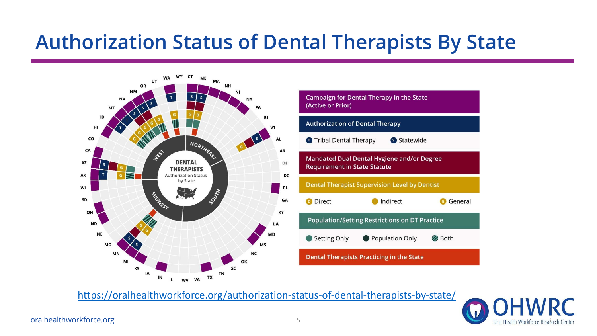### **Authorization Status of Dental Therapists By State**





<https://oralhealthworkforce.org/authorization-status-of-dental-therapists-by-state/>

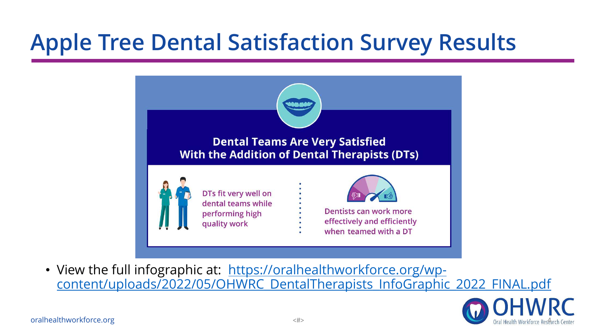# **Apple Tree Dental Satisfaction Survey Results**



• View the full infographic at: https://oralhealthworkforce.org/wp[content/uploads/2022/05/OHWRC\\_DentalTherapists\\_InfoGraphic\\_2022\\_FINAL.pdf](https://oralhealthworkforce.org/wp-content/uploads/2022/05/OHWRC_DentalTherapists_InfoGraphic_2022_FINAL.pdf)

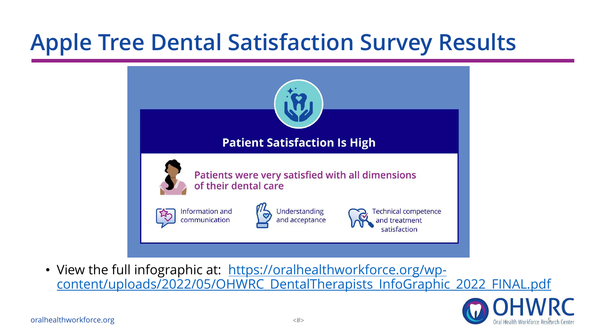# **Apple Tree Dental Satisfaction Survey Results**



• View the full infographic at: https://oralhealthworkforce.org/wp[content/uploads/2022/05/OHWRC\\_DentalTherapists\\_InfoGraphic\\_2022\\_FINAL.pdf](https://oralhealthworkforce.org/wp-content/uploads/2022/05/OHWRC_DentalTherapists_InfoGraphic_2022_FINAL.pdf)

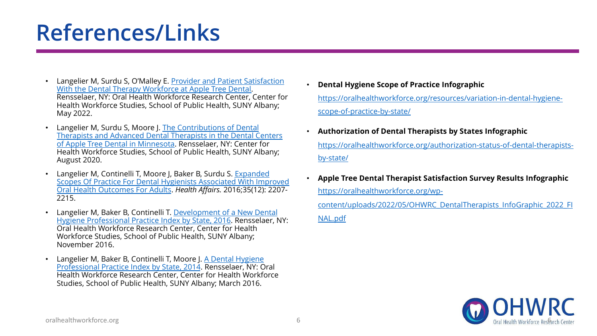# **References/Links**

- [Langelier M, Surdu S, O'Malley E. Provider and Patient Satisfaction](https://oralhealthworkforce.org/wp-content/uploads/2022/05/OHWRC-Provider-and-Patient-Satisfaction-With-the-Dental-Therapy-Workforce-at-Apple-Tree-Dental-2022.pdf) With the Dental Therapy Workforce at Apple Tree Dental. Rensselaer, NY: Oral Health Workforce Research Center, Center for Health Workforce Studies, School of Public Health, SUNY Albany; May 2022.
- Langelier M, Surdu S, Moore J. The Contributions of Dental [Therapists and Advanced Dental Therapists in the Dental Centers](https://www.chwsny.org/wp-content/uploads/2020/09/CHWS_Contributions_of_DTs_ADTs_at_Apple_Tree_Dental_2020.pdf) of Apple Tree Dental in Minnesota. Rensselaer, NY: Center for Health Workforce Studies, School of Public Health, SUNY Albany; August 2020.
- Langelier M, Continelli T, Moore J, Baker B, Surdu S. Expanded [Scopes Of Practice For Dental Hygienists Associated With Improved](https://www.healthaffairs.org/doi/10.1377/hlthaff.2016.0807) Oral Health Outcomes For Adults. *Health Affairs.* 2016;35(12): 2207- 2215.
- Langelier M, Baker B, Continelli T. Development of a New Dental [Hygiene Professional Practice Index by State, 2016. Rensselaer, N](https://oralhealthworkforce.org/wp-content/uploads/2018/02/OHWRC_Dental_Hygiene_Scope_of_Practice_2016.pdf)Y: Oral Health Workforce Research Center, Center for Health Workforce Studies, School of Public Health, SUNY Albany; November 2016.
- [Langelier M, Baker B, Continelli T, Moore J. A Dental Hygiene](https://oralhealthworkforce.org/wp-content/uploads/2016/08/DH_Professional_Practice_Index_By_State_2014.pdf) Professional Practice Index by State, 2014. Rensselaer, NY: Oral Health Workforce Research Center, Center for Health Workforce Studies, School of Public Health, SUNY Albany; March 2016.
- **Dental Hygiene Scope of Practice Infographic**  [https://oralhealthworkforce.org/resources/variation-in-dental-hygiene](https://oralhealthworkforce.org/resources/variation-in-dental-hygiene-scope-of-practice-by-state/)scope-of-practice-by-state/
- **Authorization of Dental Therapists by States Infographic**  [https://oralhealthworkforce.org/authorization-status-of-dental-therapists](https://oralhealthworkforce.org/authorization-status-of-dental-therapists-by-state/)by-state/
- **Apple Tree Dental Therapist Satisfaction Survey Results Infographic**  https://oralhealthworkforce.org/wp-

[content/uploads/2022/05/OHWRC\\_DentalTherapists\\_InfoGraphic\\_2022\\_FI](https://oralhealthworkforce.org/wp-content/uploads/2022/05/OHWRC_DentalTherapists_InfoGraphic_2022_FINAL.pdf) NAL.pdf

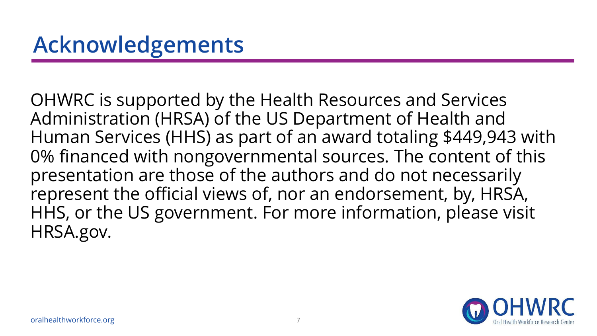OHWRC is supported by the Health Resources and Services Administration (HRSA) of the US Department of Health and Human Services (HHS) as part of an award totaling \$449,943 with 0% financed with nongovernmental sources. The content of this presentation are those of the authors and do not necessarily represent the official views of, nor an endorsement, by, HRSA, HHS, or the US government. For more information, please visit HRSA.gov.